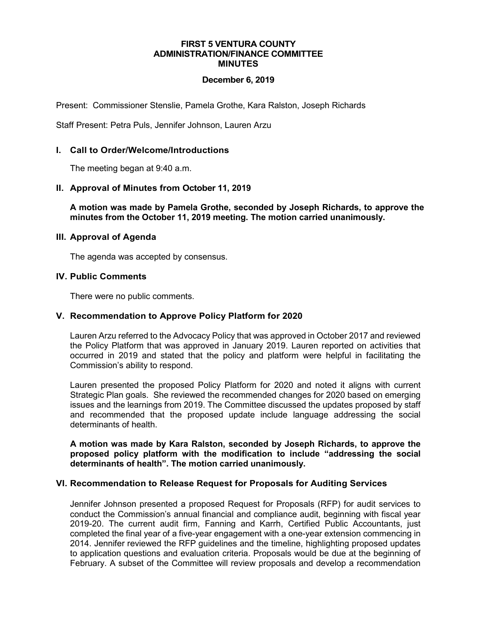#### **FIRST 5 VENTURA COUNTY ADMINISTRATION/FINANCE COMMITTEE MINUTES**

## **December 6, 2019**

Present: Commissioner Stenslie, Pamela Grothe, Kara Ralston, Joseph Richards

Staff Present: Petra Puls, Jennifer Johnson, Lauren Arzu

## **I. Call to Order/Welcome/Introductions**

The meeting began at 9:40 a.m.

### **II. Approval of Minutes from October 11, 2019**

**A motion was made by Pamela Grothe, seconded by Joseph Richards, to approve the minutes from the October 11, 2019 meeting. The motion carried unanimously.**

#### **III. Approval of Agenda**

The agenda was accepted by consensus.

#### **IV. Public Comments**

There were no public comments.

## **V. Recommendation to Approve Policy Platform for 2020**

Lauren Arzu referred to the Advocacy Policy that was approved in October 2017 and reviewed the Policy Platform that was approved in January 2019. Lauren reported on activities that occurred in 2019 and stated that the policy and platform were helpful in facilitating the Commission's ability to respond.

Lauren presented the proposed Policy Platform for 2020 and noted it aligns with current Strategic Plan goals. She reviewed the recommended changes for 2020 based on emerging issues and the learnings from 2019. The Committee discussed the updates proposed by staff and recommended that the proposed update include language addressing the social determinants of health.

**A motion was made by Kara Ralston, seconded by Joseph Richards, to approve the proposed policy platform with the modification to include "addressing the social determinants of health". The motion carried unanimously.**

## **VI. Recommendation to Release Request for Proposals for Auditing Services**

Jennifer Johnson presented a proposed Request for Proposals (RFP) for audit services to conduct the Commission's annual financial and compliance audit, beginning with fiscal year 2019-20. The current audit firm, Fanning and Karrh, Certified Public Accountants, just completed the final year of a five-year engagement with a one-year extension commencing in 2014. Jennifer reviewed the RFP guidelines and the timeline, highlighting proposed updates to application questions and evaluation criteria. Proposals would be due at the beginning of February. A subset of the Committee will review proposals and develop a recommendation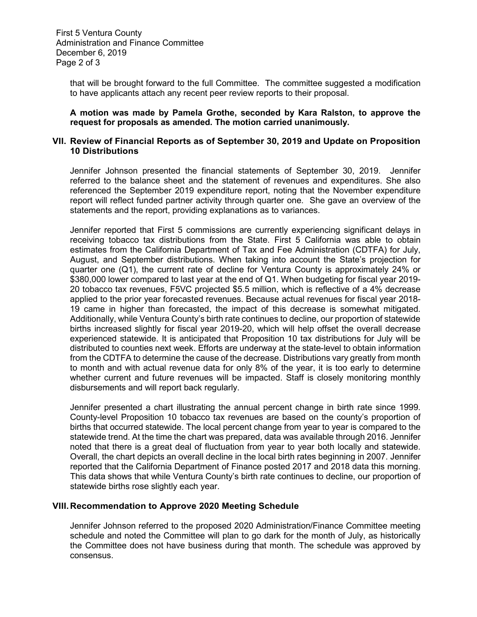that will be brought forward to the full Committee. The committee suggested a modification to have applicants attach any recent peer review reports to their proposal.

**A motion was made by Pamela Grothe, seconded by Kara Ralston, to approve the request for proposals as amended. The motion carried unanimously.**

### **VII. Review of Financial Reports as of September 30, 2019 and Update on Proposition 10 Distributions**

Jennifer Johnson presented the financial statements of September 30, 2019. Jennifer referred to the balance sheet and the statement of revenues and expenditures. She also referenced the September 2019 expenditure report, noting that the November expenditure report will reflect funded partner activity through quarter one. She gave an overview of the statements and the report, providing explanations as to variances.

Jennifer reported that First 5 commissions are currently experiencing significant delays in receiving tobacco tax distributions from the State. First 5 California was able to obtain estimates from the California Department of Tax and Fee Administration (CDTFA) for July, August, and September distributions. When taking into account the State's projection for quarter one (Q1), the current rate of decline for Ventura County is approximately 24% or \$380,000 lower compared to last year at the end of Q1. When budgeting for fiscal year 2019- 20 tobacco tax revenues, F5VC projected \$5.5 million, which is reflective of a 4% decrease applied to the prior year forecasted revenues. Because actual revenues for fiscal year 2018- 19 came in higher than forecasted, the impact of this decrease is somewhat mitigated. Additionally, while Ventura County's birth rate continues to decline, our proportion of statewide births increased slightly for fiscal year 2019-20, which will help offset the overall decrease experienced statewide. It is anticipated that Proposition 10 tax distributions for July will be distributed to counties next week. Efforts are underway at the state-level to obtain information from the CDTFA to determine the cause of the decrease. Distributions vary greatly from month to month and with actual revenue data for only 8% of the year, it is too early to determine whether current and future revenues will be impacted. Staff is closely monitoring monthly disbursements and will report back regularly.

Jennifer presented a chart illustrating the annual percent change in birth rate since 1999. County-level Proposition 10 tobacco tax revenues are based on the county's proportion of births that occurred statewide. The local percent change from year to year is compared to the statewide trend. At the time the chart was prepared, data was available through 2016. Jennifer noted that there is a great deal of fluctuation from year to year both locally and statewide. Overall, the chart depicts an overall decline in the local birth rates beginning in 2007. Jennifer reported that the California Department of Finance posted 2017 and 2018 data this morning. This data shows that while Ventura County's birth rate continues to decline, our proportion of statewide births rose slightly each year.

## **VIII.Recommendation to Approve 2020 Meeting Schedule**

Jennifer Johnson referred to the proposed 2020 Administration/Finance Committee meeting schedule and noted the Committee will plan to go dark for the month of July, as historically the Committee does not have business during that month. The schedule was approved by consensus.